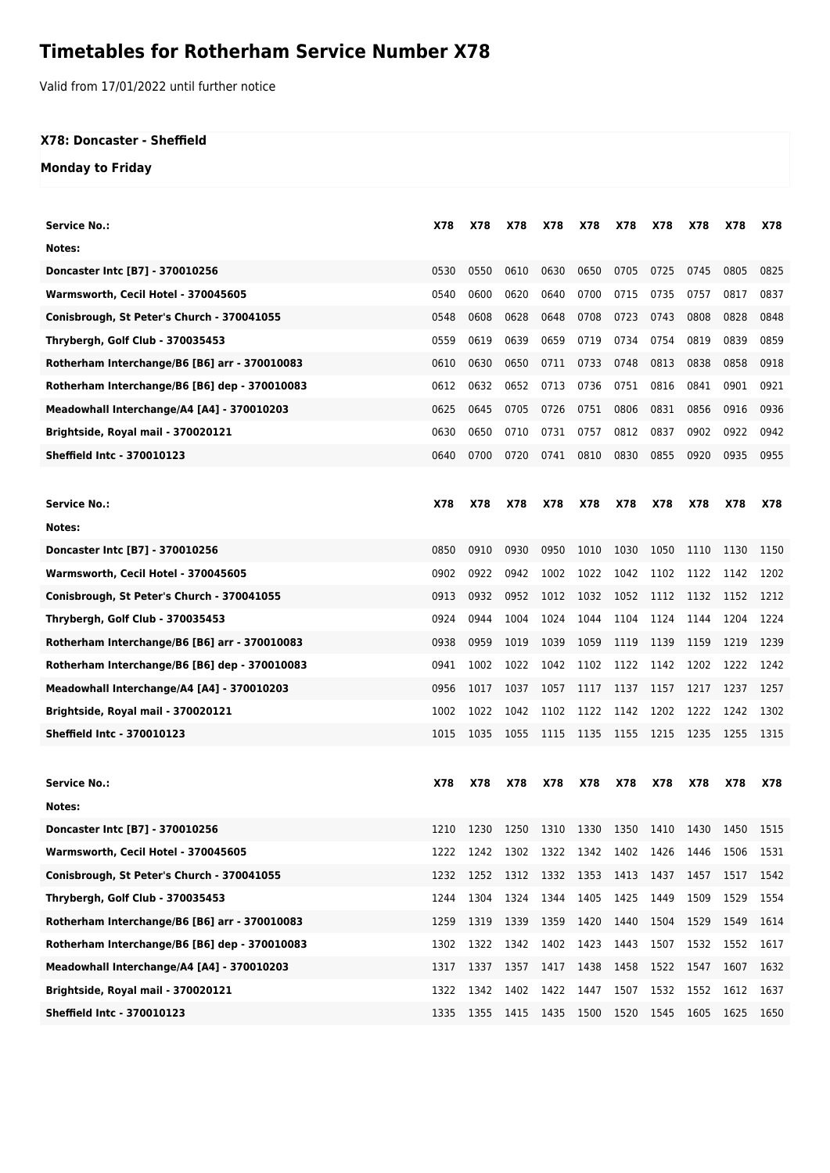## **Timetables for Rotherham Service Number X78**

Valid from 17/01/2022 until further notice

## **X78: Doncaster - Sheffield**

## **Monday to Friday**

| Service No.:                                  | X78        | X78        | X78        | X78            | X78            | X78  | X78  | X78        | X78  | X78  |
|-----------------------------------------------|------------|------------|------------|----------------|----------------|------|------|------------|------|------|
| Notes:                                        |            |            |            |                |                |      |      |            |      |      |
| Doncaster Intc [B7] - 370010256               | 0530       | 0550       | 0610       | 0630           | 0650           | 0705 | 0725 | 0745       | 0805 | 0825 |
| Warmsworth, Cecil Hotel - 370045605           | 0540       | 0600       | 0620       | 0640           | 0700           | 0715 | 0735 | 0757       | 0817 | 0837 |
| Conisbrough, St Peter's Church - 370041055    | 0548       | 0608       | 0628       | 0648           | 0708           | 0723 | 0743 | 0808       | 0828 | 0848 |
| Thrybergh, Golf Club - 370035453              | 0559       | 0619       | 0639       | 0659           | 0719           | 0734 | 0754 | 0819       | 0839 | 0859 |
| Rotherham Interchange/B6 [B6] arr - 370010083 | 0610       | 0630       | 0650       | 0711           | 0733           | 0748 | 0813 | 0838       | 0858 | 0918 |
| Rotherham Interchange/B6 [B6] dep - 370010083 | 0612       | 0632       | 0652       | 0713           | 0736           | 0751 | 0816 | 0841       | 0901 | 0921 |
| Meadowhall Interchange/A4 [A4] - 370010203    | 0625       | 0645       | 0705       | 0726           | 0751           | 0806 | 0831 | 0856       | 0916 | 0936 |
| Brightside, Royal mail - 370020121            | 0630       | 0650       | 0710       | 0731           | 0757           | 0812 | 0837 | 0902       | 0922 | 0942 |
| Sheffield Intc - 370010123                    | 0640       | 0700       | 0720       | 0741           | 0810           | 0830 | 0855 | 0920       | 0935 | 0955 |
|                                               |            |            |            |                |                |      |      |            |      |      |
| <b>Service No.:</b>                           | X78        | X78        | X78        | X78            | X78            | X78  | X78  | X78        | X78  | X78  |
| Notes:                                        |            |            |            |                |                |      |      |            |      |      |
| Doncaster Intc [B7] - 370010256               | 0850       | 0910       | 0930       | 0950           | 1010           | 1030 | 1050 | 1110       | 1130 | 1150 |
| Warmsworth, Cecil Hotel - 370045605           | 0902       | 0922       | 0942       | 1002           | 1022           | 1042 | 1102 | 1122       | 1142 | 1202 |
| Conisbrough, St Peter's Church - 370041055    | 0913       | 0932       | 0952       | 1012           | 1032           | 1052 | 1112 | 1132       | 1152 | 1212 |
| Thrybergh, Golf Club - 370035453              | 0924       | 0944       | 1004       | 1024           | 1044           | 1104 | 1124 | 1144       | 1204 | 1224 |
| Rotherham Interchange/B6 [B6] arr - 370010083 | 0938       | 0959       | 1019       | 1039           | 1059           | 1119 | 1139 | 1159       | 1219 | 1239 |
| Rotherham Interchange/B6 [B6] dep - 370010083 | 0941       | 1002       | 1022       | 1042           | 1102           | 1122 | 1142 | 1202       | 1222 | 1242 |
| Meadowhall Interchange/A4 [A4] - 370010203    | 0956       | 1017       | 1037       | 1057           | 1117           | 1137 | 1157 | 1217       | 1237 | 1257 |
| Brightside, Royal mail - 370020121            | 1002       | 1022       | 1042       | 1102           | 1122           | 1142 | 1202 | 1222       | 1242 | 1302 |
| <b>Sheffield Intc - 370010123</b>             | 1015       | 1035       | 1055       | 1115           | 1135           | 1155 | 1215 | 1235       | 1255 | 1315 |
|                                               |            |            |            |                |                |      |      |            |      |      |
| <b>Service No.:</b>                           | <b>X78</b> | <b>X78</b> | <b>X78</b> | X78            | X78            | X78  | X78  | <b>X78</b> | X78  | X78  |
| Notes:                                        |            |            |            |                |                |      |      |            |      |      |
| Doncaster Intc [B7] - 370010256               | 1210       | 1230       | 1250       | 1310           | 1330           | 1350 | 1410 | 1430       | 1450 | 1515 |
| Warmsworth, Cecil Hotel - 370045605           | 1222       | 1242       | 1302       |                | 1322 1342 1402 |      | 1426 | 1446       | 1506 | 1531 |
| Conisbrough, St Peter's Church - 370041055    | 1232       | 1252       | 1312       | 1332           | 1353 1413      |      | 1437 | 1457       | 1517 | 1542 |
| Thrybergh, Golf Club - 370035453              | 1244       | 1304       | 1324       | 1344           | 1405           | 1425 | 1449 | 1509       | 1529 | 1554 |
| Rotherham Interchange/B6 [B6] arr - 370010083 | 1259       | 1319       | 1339       | 1359           | 1420           | 1440 | 1504 | 1529       | 1549 | 1614 |
| Rotherham Interchange/B6 [B6] dep - 370010083 | 1302       | 1322       | 1342       | 1402           | 1423           | 1443 | 1507 | 1532       | 1552 | 1617 |
| Meadowhall Interchange/A4 [A4] - 370010203    | 1317       | 1337       | 1357       | 1417           | 1438           | 1458 | 1522 | 1547       | 1607 | 1632 |
| Brightside, Royal mail - 370020121            | 1322       | 1342       | 1402       | 1422           | 1447           | 1507 | 1532 | 1552       | 1612 | 1637 |
| Sheffield Intc - 370010123                    | 1335       | 1355       |            | 1415 1435 1500 |                | 1520 | 1545 | 1605       | 1625 | 1650 |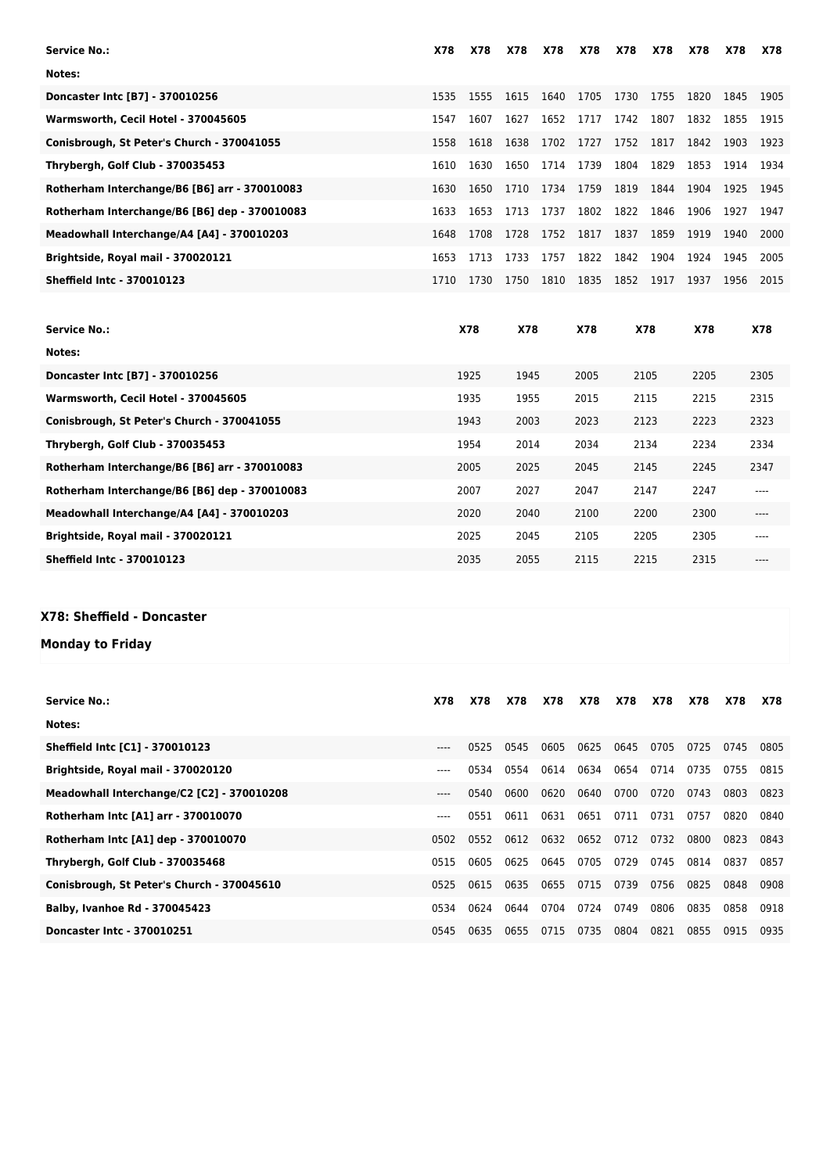| Notes:<br>1615<br>1640<br>1705<br>1730<br>1755<br>1820<br>Doncaster Intc [B7] - 370010256<br>1535<br>1555<br>1845<br>1905<br>1627<br>1717<br>1742<br>1807<br>1832<br>Warmsworth, Cecil Hotel - 370045605<br>1607<br>1652<br>1855<br>1915<br>1547<br>1752<br>Conisbrough, St Peter's Church - 370041055<br>1638<br>1702<br>1727<br>1817<br>1842<br>1903<br>1558<br>1618<br>1923<br>1804<br>1829<br>1650<br>1714<br>1739<br>1853<br>1914<br>Thrybergh, Golf Club - 370035453<br>1630<br>1934<br>1610<br>1734<br>1759<br>1819<br>1844<br>1904<br>Rotherham Interchange/B6 [B6] arr - 370010083<br>1710<br>1925<br>1945<br>1630<br>1650<br>1713<br>1737<br>1802<br>1822<br>1846<br>1906<br>1653<br>1927<br>Rotherham Interchange/B6 [B6] dep - 370010083<br>1633<br>1947<br>1728<br>1752<br>1817<br>1837<br>1859<br>1919<br>Meadowhall Interchange/A4 [A4] - 370010203<br>1708<br>1940<br>2000<br>1648<br>1822<br>1842<br>1904<br>Brightside, Royal mail - 370020121<br>1713<br>1733<br>1757<br>1924<br>1653<br>1945<br>2005<br><b>Sheffield Intc - 370010123</b><br>1750<br>1810<br>1835<br>1852<br>1917<br>1730<br>1937<br>1956<br>1710<br>2015 | Service No.: | X78 | <b>X78</b> | <b>X78</b> | <b>X78</b> | <b>X78</b> | X78 | X78 | <b>X78</b> | X78 | X78 |
|-----------------------------------------------------------------------------------------------------------------------------------------------------------------------------------------------------------------------------------------------------------------------------------------------------------------------------------------------------------------------------------------------------------------------------------------------------------------------------------------------------------------------------------------------------------------------------------------------------------------------------------------------------------------------------------------------------------------------------------------------------------------------------------------------------------------------------------------------------------------------------------------------------------------------------------------------------------------------------------------------------------------------------------------------------------------------------------------------------------------------------------------------|--------------|-----|------------|------------|------------|------------|-----|-----|------------|-----|-----|
|                                                                                                                                                                                                                                                                                                                                                                                                                                                                                                                                                                                                                                                                                                                                                                                                                                                                                                                                                                                                                                                                                                                                               |              |     |            |            |            |            |     |     |            |     |     |
|                                                                                                                                                                                                                                                                                                                                                                                                                                                                                                                                                                                                                                                                                                                                                                                                                                                                                                                                                                                                                                                                                                                                               |              |     |            |            |            |            |     |     |            |     |     |
|                                                                                                                                                                                                                                                                                                                                                                                                                                                                                                                                                                                                                                                                                                                                                                                                                                                                                                                                                                                                                                                                                                                                               |              |     |            |            |            |            |     |     |            |     |     |
|                                                                                                                                                                                                                                                                                                                                                                                                                                                                                                                                                                                                                                                                                                                                                                                                                                                                                                                                                                                                                                                                                                                                               |              |     |            |            |            |            |     |     |            |     |     |
|                                                                                                                                                                                                                                                                                                                                                                                                                                                                                                                                                                                                                                                                                                                                                                                                                                                                                                                                                                                                                                                                                                                                               |              |     |            |            |            |            |     |     |            |     |     |
|                                                                                                                                                                                                                                                                                                                                                                                                                                                                                                                                                                                                                                                                                                                                                                                                                                                                                                                                                                                                                                                                                                                                               |              |     |            |            |            |            |     |     |            |     |     |
|                                                                                                                                                                                                                                                                                                                                                                                                                                                                                                                                                                                                                                                                                                                                                                                                                                                                                                                                                                                                                                                                                                                                               |              |     |            |            |            |            |     |     |            |     |     |
|                                                                                                                                                                                                                                                                                                                                                                                                                                                                                                                                                                                                                                                                                                                                                                                                                                                                                                                                                                                                                                                                                                                                               |              |     |            |            |            |            |     |     |            |     |     |
|                                                                                                                                                                                                                                                                                                                                                                                                                                                                                                                                                                                                                                                                                                                                                                                                                                                                                                                                                                                                                                                                                                                                               |              |     |            |            |            |            |     |     |            |     |     |
|                                                                                                                                                                                                                                                                                                                                                                                                                                                                                                                                                                                                                                                                                                                                                                                                                                                                                                                                                                                                                                                                                                                                               |              |     |            |            |            |            |     |     |            |     |     |

| X78  | <b>X78</b> | <b>X78</b> | X78  | X78  | <b>X78</b> |
|------|------------|------------|------|------|------------|
|      |            |            |      |      |            |
| 1925 | 1945       | 2005       | 2105 | 2205 | 2305       |
| 1935 | 1955       | 2015       | 2115 | 2215 | 2315       |
| 1943 | 2003       | 2023       | 2123 | 2223 | 2323       |
| 1954 | 2014       | 2034       | 2134 | 2234 | 2334       |
| 2005 | 2025       | 2045       | 2145 | 2245 | 2347       |
| 2007 | 2027       | 2047       | 2147 | 2247 | ----       |
| 2020 | 2040       | 2100       | 2200 | 2300 | ----       |
| 2025 | 2045       | 2105       | 2205 | 2305 | ----       |
| 2035 | 2055       | 2115       | 2215 | 2315 | ----       |
|      |            |            |      |      |            |

## **X78: Sheffield - Doncaster**

**Monday to Friday**

| <b>Service No.:</b>                        | X78       | X78  | X78  | X78  | X78  | <b>X78</b> | <b>X78</b> | X78  | X78  | X78  |
|--------------------------------------------|-----------|------|------|------|------|------------|------------|------|------|------|
| Notes:                                     |           |      |      |      |      |            |            |      |      |      |
| <b>Sheffield Intc [C1] - 370010123</b>     | ----      | 0525 | 0545 | 0605 | 0625 | 0645       | 0705       | 0725 | 0745 | 0805 |
| Brightside, Royal mail - 370020120         | $- - - -$ | 0534 | 0554 | 0614 | 0634 | 0654       | 0714       | 0735 | 0755 | 0815 |
| Meadowhall Interchange/C2 [C2] - 370010208 | ----      | 0540 | 0600 | 0620 | 0640 | 0700       | 0720       | 0743 | 0803 | 0823 |
| Rotherham Intc [A1] arr - 370010070        | ----      | 0551 | 0611 | 0631 | 0651 | 0711       | 0731       | 0757 | 0820 | 0840 |
| Rotherham Intc [A1] dep - 370010070        | 0502      | 0552 | 0612 | 0632 | 0652 | 0712       | 0732       | 0800 | 0823 | 0843 |
| Thrybergh, Golf Club - 370035468           | 0515      | 0605 | 0625 | 0645 | 0705 | 0729       | 0745       | 0814 | 0837 | 0857 |
| Conisbrough, St Peter's Church - 370045610 | 0525      | 0615 | 0635 | 0655 | 0715 | 0739       | 0756       | 0825 | 0848 | 0908 |
| Balby, Ivanhoe Rd - 370045423              | 0534      | 0624 | 0644 | 0704 | 0724 | 0749       | 0806       | 0835 | 0858 | 0918 |
| Doncaster Intc - 370010251                 | 0545      | 0635 | 0655 | 0715 | 0735 | 0804       | 0821       | 0855 | 0915 | 0935 |